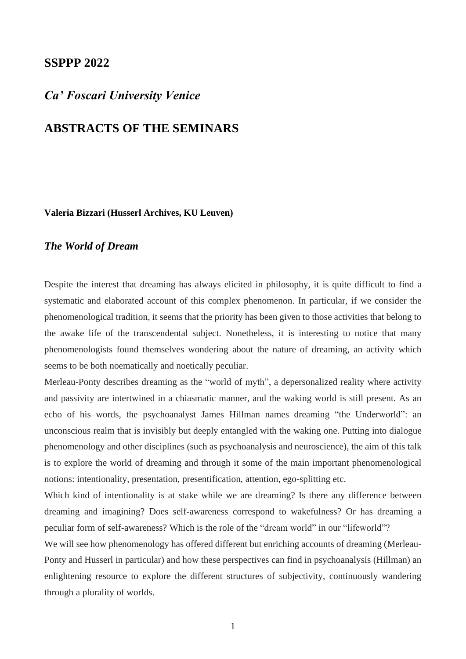## **SSPPP 2022**

# *Ca' Foscari University Venice*

# **ABSTRACTS OF THE SEMINARS**

**Valeria Bizzari (Husserl Archives, KU Leuven)**

### *The World of Dream*

Despite the interest that dreaming has always elicited in philosophy, it is quite difficult to find a systematic and elaborated account of this complex phenomenon. In particular, if we consider the phenomenological tradition, it seems that the priority has been given to those activities that belong to the awake life of the transcendental subject. Nonetheless, it is interesting to notice that many phenomenologists found themselves wondering about the nature of dreaming, an activity which seems to be both noematically and noetically peculiar.

Merleau-Ponty describes dreaming as the "world of myth", a depersonalized reality where activity and passivity are intertwined in a chiasmatic manner, and the waking world is still present. As an echo of his words, the psychoanalyst James Hillman names dreaming "the Underworld": an unconscious realm that is invisibly but deeply entangled with the waking one. Putting into dialogue phenomenology and other disciplines (such as psychoanalysis and neuroscience), the aim of this talk is to explore the world of dreaming and through it some of the main important phenomenological notions: intentionality, presentation, presentification, attention, ego-splitting etc.

Which kind of intentionality is at stake while we are dreaming? Is there any difference between dreaming and imagining? Does self-awareness correspond to wakefulness? Or has dreaming a peculiar form of self-awareness? Which is the role of the "dream world" in our "lifeworld"?

We will see how phenomenology has offered different but enriching accounts of dreaming (Merleau-Ponty and Husserl in particular) and how these perspectives can find in psychoanalysis (Hillman) an enlightening resource to explore the different structures of subjectivity, continuously wandering through a plurality of worlds.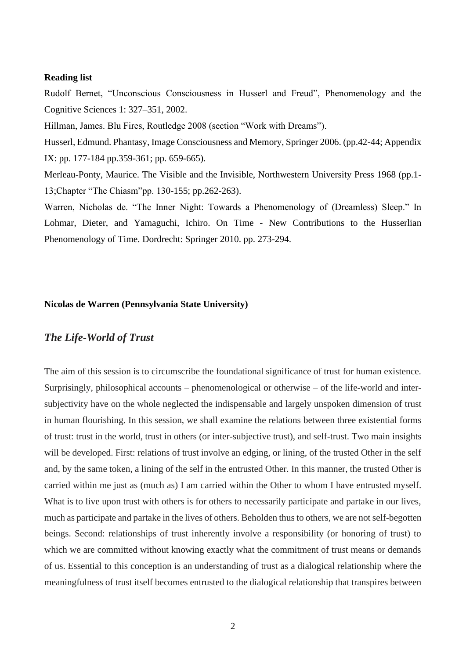### **Reading list**

Rudolf Bernet, "Unconscious Consciousness in Husserl and Freud", Phenomenology and the Cognitive Sciences 1: 327–351, 2002.

Hillman, James. Blu Fires, Routledge 2008 (section "Work with Dreams").

Husserl, Edmund. Phantasy, Image Consciousness and Memory, Springer 2006. (pp.42-44; Appendix IX: pp. 177-184 pp.359-361; pp. 659-665).

Merleau-Ponty, Maurice. The Visible and the Invisible, Northwestern University Press 1968 (pp.1- 13;Chapter "The Chiasm"pp. 130-155; pp.262-263).

Warren, Nicholas de. "The Inner Night: Towards a Phenomenology of (Dreamless) Sleep." In Lohmar, Dieter, and Yamaguchi, Ichiro. On Time - New Contributions to the Husserlian Phenomenology of Time. Dordrecht: Springer 2010. pp. 273-294.

### **Nicolas de Warren (Pennsylvania State University)**

### *The Life-World of Trust*

The aim of this session is to circumscribe the foundational significance of trust for human existence. Surprisingly, philosophical accounts – phenomenological or otherwise – of the life-world and intersubjectivity have on the whole neglected the indispensable and largely unspoken dimension of trust in human flourishing. In this session, we shall examine the relations between three existential forms of trust: trust in the world, trust in others (or inter-subjective trust), and self-trust. Two main insights will be developed. First: relations of trust involve an edging, or lining, of the trusted Other in the self and, by the same token, a lining of the self in the entrusted Other. In this manner, the trusted Other is carried within me just as (much as) I am carried within the Other to whom I have entrusted myself. What is to live upon trust with others is for others to necessarily participate and partake in our lives, much as participate and partake in the lives of others. Beholden thus to others, we are not self-begotten beings. Second: relationships of trust inherently involve a responsibility (or honoring of trust) to which we are committed without knowing exactly what the commitment of trust means or demands of us. Essential to this conception is an understanding of trust as a dialogical relationship where the meaningfulness of trust itself becomes entrusted to the dialogical relationship that transpires between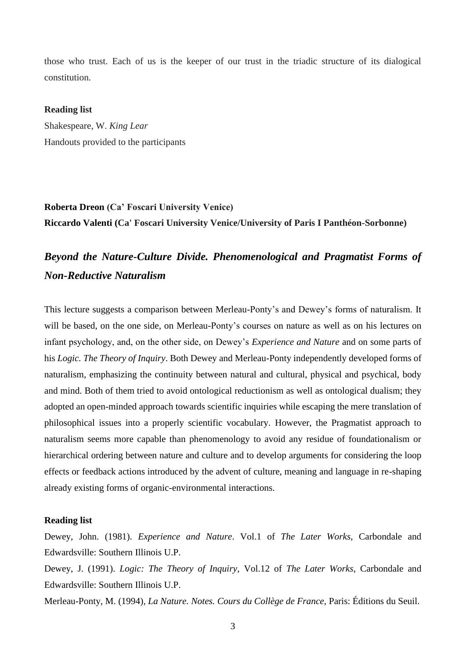those who trust. Each of us is the keeper of our trust in the triadic structure of its dialogical constitution.

### **Reading list**

Shakespeare, W. *King Lear* Handouts provided to the participants

# **Roberta Dreon (Ca' Foscari University Venice) Riccardo Valenti (Ca' Foscari University Venice/University of Paris I Panthéon-Sorbonne)**

# *Beyond the Nature-Culture Divide. Phenomenological and Pragmatist Forms of Non-Reductive Naturalism*

This lecture suggests a comparison between Merleau-Ponty's and Dewey's forms of naturalism. It will be based, on the one side, on Merleau-Ponty's courses on nature as well as on his lectures on infant psychology, and, on the other side, on Dewey's *Experience and Nature* and on some parts of his *Logic. The Theory of Inquiry*. Both Dewey and Merleau-Ponty independently developed forms of naturalism, emphasizing the continuity between natural and cultural, physical and psychical, body and mind. Both of them tried to avoid ontological reductionism as well as ontological dualism; they adopted an open-minded approach towards scientific inquiries while escaping the mere translation of philosophical issues into a properly scientific vocabulary. However, the Pragmatist approach to naturalism seems more capable than phenomenology to avoid any residue of foundationalism or hierarchical ordering between nature and culture and to develop arguments for considering the loop effects or feedback actions introduced by the advent of culture, meaning and language in re-shaping already existing forms of organic-environmental interactions.

### **Reading list**

Dewey, John. (1981). *Experience and Nature*. Vol.1 of *The Later Works*, Carbondale and Edwardsville: Southern Illinois U.P.

Dewey, J. (1991). *Logic: The Theory of Inquiry*, Vol.12 of *The Later Works*, Carbondale and Edwardsville: Southern Illinois U.P.

Merleau-Ponty, M. (1994), *La Nature. Notes. Cours du Collège de France*, Paris: Éditions du Seuil.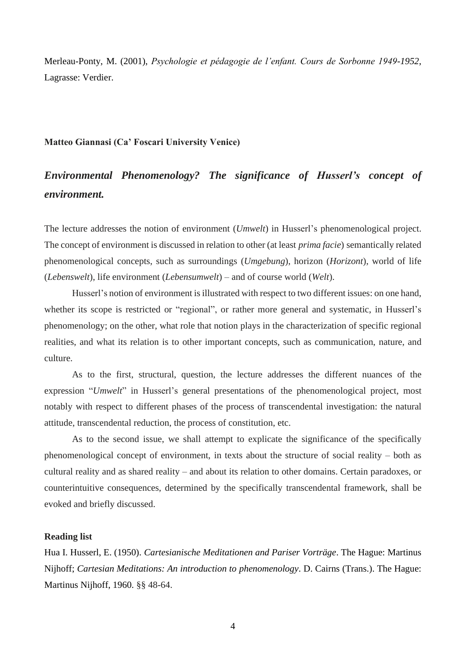Merleau-Ponty, M. (2001), *Psychologie et pédagogie de l'enfant. Cours de Sorbonne 1949-1952*, Lagrasse: Verdier.

### **Matteo Giannasi (Ca' Foscari University Venice)**

# *Environmental Phenomenology? The significance of Husserl's concept of environment.*

The lecture addresses the notion of environment (*Umwelt*) in Husserl's phenomenological project. The concept of environment is discussed in relation to other (at least *prima facie*) semantically related phenomenological concepts, such as surroundings (*Umgebung*), horizon (*Horizont*), world of life (*Lebenswelt*), life environment (*Lebensumwelt*) – and of course world (*Welt*).

Husserl's notion of environment is illustrated with respect to two different issues: on one hand, whether its scope is restricted or "regional", or rather more general and systematic, in Husserl's phenomenology; on the other, what role that notion plays in the characterization of specific regional realities, and what its relation is to other important concepts, such as communication, nature, and culture.

As to the first, structural, question, the lecture addresses the different nuances of the expression "*Umwelt*" in Husserl's general presentations of the phenomenological project, most notably with respect to different phases of the process of transcendental investigation: the natural attitude, transcendental reduction, the process of constitution, etc.

As to the second issue, we shall attempt to explicate the significance of the specifically phenomenological concept of environment, in texts about the structure of social reality – both as cultural reality and as shared reality – and about its relation to other domains. Certain paradoxes, or counterintuitive consequences, determined by the specifically transcendental framework, shall be evoked and briefly discussed.

### **Reading list**

Hua I. Husserl, E. (1950). *Cartesianische Meditationen and Pariser Vorträge*. The Hague: Martinus Nijhoff; *Cartesian Meditations: An introduction to phenomenology*. D. Cairns (Trans.). The Hague: Martinus Nijhoff, 1960. §§ 48-64.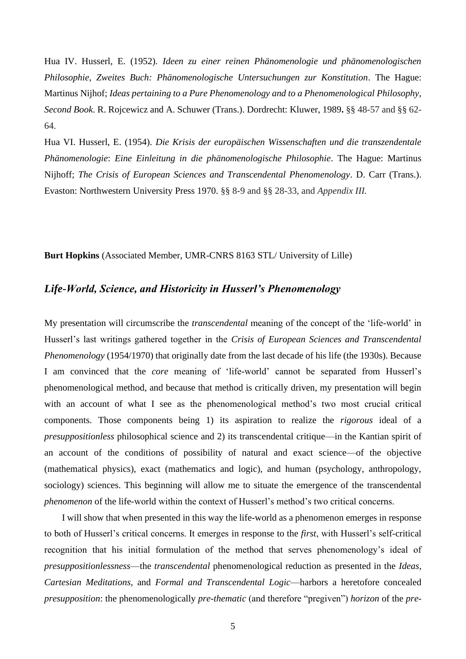Hua IV. Husserl, E. (1952). *Ideen zu einer reinen Phänomenologie und phänomenologischen Philosophie, Zweites Buch: Phänomenologische Untersuchungen zur Konstitution*. The Hague: Martinus Nijhof; *Ideas pertaining to a Pure Phenomenology and to a Phenomenological Philosophy, Second Book*. R. Rojcewicz and A. Schuwer (Trans.). Dordrecht: Kluwer, 1989**.** §§ 48-57 and §§ 62- 64.

Hua VI. Husserl, E. (1954). *Die Krisis der europäischen Wissenschaften und die transzendentale Phänomenologie*: *Eine Einleitung in die phänomenologische Philosophie*. The Hague: Martinus Nijhoff; *The Crisis of European Sciences and Transcendental Phenomenology*. D. Carr (Trans.). Evaston: Northwestern University Press 1970. §§ 8-9 and §§ 28-33, and *Appendix III.*

**Burt Hopkins** (Associated Member, UMR-CNRS 8163 STL/ University of Lille)

## *Life-World, Science, and Historicity in Husserl's Phenomenology*

My presentation will circumscribe the *transcendental* meaning of the concept of the 'life-world' in Husserl's last writings gathered together in the *Crisis of European Sciences and Transcendental Phenomenology* (1954/1970) that originally date from the last decade of his life (the 1930s). Because I am convinced that the *core* meaning of 'life-world' cannot be separated from Husserl's phenomenological method, and because that method is critically driven, my presentation will begin with an account of what I see as the phenomenological method's two most crucial critical components. Those components being 1) its aspiration to realize the *rigorous* ideal of a *presuppositionless* philosophical science and 2) its transcendental critique—in the Kantian spirit of an account of the conditions of possibility of natural and exact science—of the objective (mathematical physics), exact (mathematics and logic), and human (psychology, anthropology, sociology) sciences. This beginning will allow me to situate the emergence of the transcendental *phenomenon* of the life-world within the context of Husserl's method's two critical concerns.

I will show that when presented in this way the life-world as a phenomenon emerges in response to both of Husserl's critical concerns. It emerges in response to the *first*, with Husserl's self-critical recognition that his initial formulation of the method that serves phenomenology's ideal of *presuppositionlessness*—the *transcendental* phenomenological reduction as presented in the *Ideas*, *Cartesian Meditations*, and *Formal and Transcendental Logic*—harbors a heretofore concealed *presupposition*: the phenomenologically *pre-thematic* (and therefore "pregiven") *horizon* of the *pre-*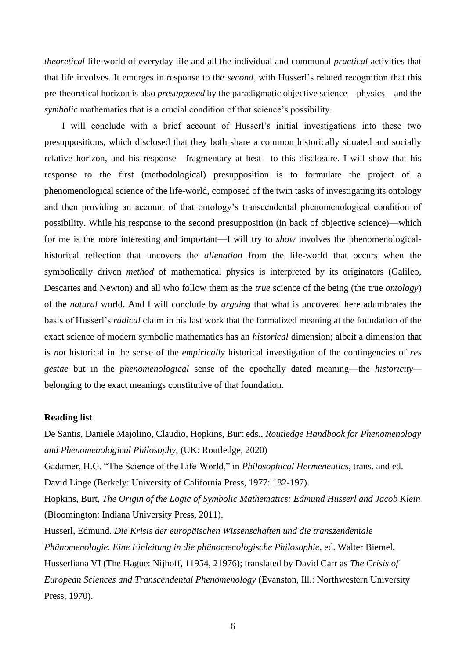*theoretical* life-world of everyday life and all the individual and communal *practical* activities that that life involves. It emerges in response to the *second*, with Husserl's related recognition that this pre-theoretical horizon is also *presupposed* by the paradigmatic objective science—physics—and the *symbolic* mathematics that is a crucial condition of that science's possibility.

I will conclude with a brief account of Husserl's initial investigations into these two presuppositions, which disclosed that they both share a common historically situated and socially relative horizon, and his response—fragmentary at best—to this disclosure. I will show that his response to the first (methodological) presupposition is to formulate the project of a phenomenological science of the life-world, composed of the twin tasks of investigating its ontology and then providing an account of that ontology's transcendental phenomenological condition of possibility. While his response to the second presupposition (in back of objective science)—which for me is the more interesting and important—I will try to *show* involves the phenomenologicalhistorical reflection that uncovers the *alienation* from the life-world that occurs when the symbolically driven *method* of mathematical physics is interpreted by its originators (Galileo, Descartes and Newton) and all who follow them as the *true* science of the being (the true *ontology*) of the *natural* world. And I will conclude by *arguing* that what is uncovered here adumbrates the basis of Husserl's *radical* claim in his last work that the formalized meaning at the foundation of the exact science of modern symbolic mathematics has an *historical* dimension; albeit a dimension that is *not* historical in the sense of the *empirically* historical investigation of the contingencies of *res gestae* but in the *phenomenological* sense of the epochally dated meaning—the *historicity* belonging to the exact meanings constitutive of that foundation.

### **Reading list**

De Santis, Daniele Majolino, Claudio, Hopkins, Burt eds., *Routledge Handbook for Phenomenology and Phenomenological Philosophy*, (UK: Routledge, 2020) Gadamer, H.G. "The Science of the Life-World," in *Philosophical Hermeneutics*, trans. and ed. David Linge (Berkely: University of California Press, 1977: 182-197). Hopkins, Burt, *The Origin of the Logic of Symbolic Mathematics: Edmund Husserl and Jacob Klein* (Bloomington: Indiana University Press, 2011). Husserl, Edmund. *Die Krisis der europäischen Wissenschaften und die transzendentale Phänomenologie. Eine Einleitung in die phänomenologische Philosophie*, ed. Walter Biemel, Husserliana VI (The Hague: Nijhoff, 11954, 21976); translated by David Carr as *The Crisis of European Sciences and Transcendental Phenomenology* (Evanston, Ill.: Northwestern University Press, 1970).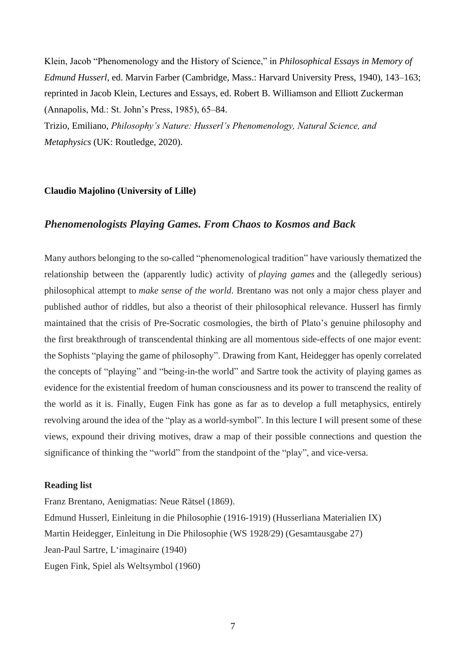Klein, Jacob "Phenomenology and the History of Science," in *Philosophical Essays in Memory of Edmund Husserl*, ed. Marvin Farber (Cambridge, Mass.: Harvard University Press, 1940), 143–163; reprinted in Jacob Klein, Lectures and Essays, ed. Robert B. Williamson and Elliott Zuckerman (Annapolis, Md.: St. John's Press, 1985), 65–84.

Trizio, Emiliano, *Philosophy's Nature: Husserl's Phenomenology, Natural Science, and Metaphysics* (UK: Routledge, 2020).

### **Claudio Majolino (University of Lille)**

### *Phenomenologists Playing Games. From Chaos to Kosmos and Back*

Many authors belonging to the so-called "phenomenological tradition" have variously thematized the relationship between the (apparently ludic) activity of *playing games* and the (allegedly serious) philosophical attempt to *make sense of the world*. Brentano was not only a major chess player and published author of riddles, but also a theorist of their philosophical relevance. Husserl has firmly maintained that the crisis of Pre-Socratic cosmologies, the birth of Plato's genuine philosophy and the first breakthrough of transcendental thinking are all momentous side-effects of one major event: the Sophists "playing the game of philosophy". Drawing from Kant, Heidegger has openly correlated the concepts of "playing" and "being-in-the world" and Sartre took the activity of playing games as evidence for the existential freedom of human consciousness and its power to transcend the reality of the world as it is. Finally, Eugen Fink has gone as far as to develop a full metaphysics, entirely revolving around the idea of the "play as a world-symbol". In this lecture I will present some of these views, expound their driving motives, draw a map of their possible connections and question the significance of thinking the "world" from the standpoint of the "play", and vice-versa.

### **Reading list**

Franz Brentano, Aenigmatias: Neue Rätsel (1869). Edmund Husserl, Einleitung in die Philosophie (1916-1919) (Husserliana Materialien IX) Martin Heidegger, Einleitung in Die Philosophie (WS 1928/29) (Gesamtausgabe 27) Jean-Paul Sartre, L'imaginaire (1940) Eugen Fink, Spiel als Weltsymbol (1960)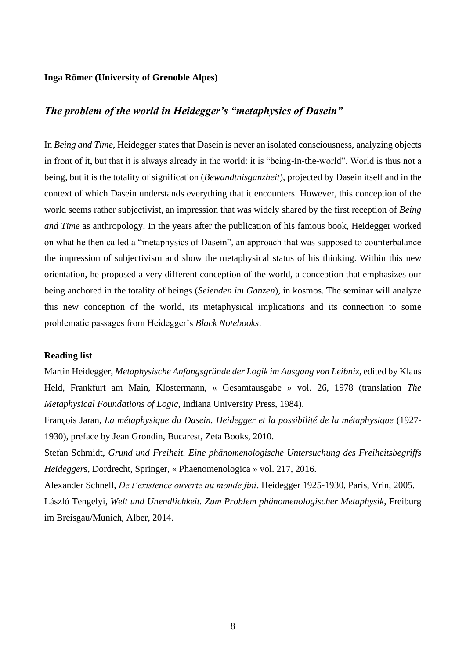### **Inga Römer (University of Grenoble Alpes)**

# *The problem of the world in Heidegger's "metaphysics of Dasein"*

In *Being and Time*, Heidegger states that Dasein is never an isolated consciousness, analyzing objects in front of it, but that it is always already in the world: it is "being-in-the-world". World is thus not a being, but it is the totality of signification (*Bewandtnisganzheit*), projected by Dasein itself and in the context of which Dasein understands everything that it encounters. However, this conception of the world seems rather subjectivist, an impression that was widely shared by the first reception of *Being and Time* as anthropology. In the years after the publication of his famous book, Heidegger worked on what he then called a "metaphysics of Dasein", an approach that was supposed to counterbalance the impression of subjectivism and show the metaphysical status of his thinking. Within this new orientation, he proposed a very different conception of the world, a conception that emphasizes our being anchored in the totality of beings (*Seienden im Ganzen*), in kosmos. The seminar will analyze this new conception of the world, its metaphysical implications and its connection to some problematic passages from Heidegger's *Black Notebooks*.

### **Reading list**

Martin Heidegger, *Metaphysische Anfangsgründe der Logik im Ausgang von Leibniz*, edited by Klaus Held, Frankfurt am Main, Klostermann, « Gesamtausgabe » vol. 26, 1978 (translation *The Metaphysical Foundations of Logic*, Indiana University Press, 1984).

François Jaran, *La métaphysique du Dasein. Heidegger et la possibilité de la métaphysique* (1927- 1930), preface by Jean Grondin, Bucarest, Zeta Books, 2010.

Stefan Schmidt, *Grund und Freiheit. Eine phänomenologische Untersuchung des Freiheitsbegriffs Heidegger*s, Dordrecht, Springer, « Phaenomenologica » vol. 217, 2016.

Alexander Schnell, *De l'existence ouverte au monde fini*. Heidegger 1925-1930, Paris, Vrin, 2005. László Tengelyi, *Welt und Unendlichkeit. Zum Problem phänomenologischer Metaphysik*, Freiburg im Breisgau/Munich, Alber, 2014.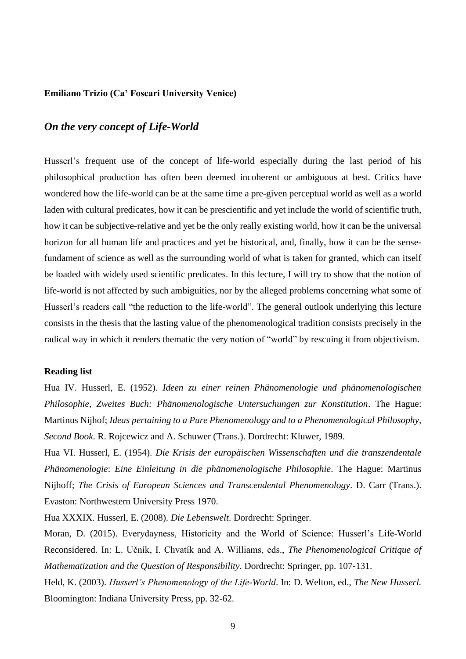### **Emiliano Trizio (Ca' Foscari University Venice)**

## *On the very concept of Life-World*

Husserl's frequent use of the concept of life-world especially during the last period of his philosophical production has often been deemed incoherent or ambiguous at best. Critics have wondered how the life-world can be at the same time a pre-given perceptual world as well as a world laden with cultural predicates, how it can be prescientific and yet include the world of scientific truth, how it can be subjective-relative and yet be the only really existing world, how it can be the universal horizon for all human life and practices and yet be historical, and, finally, how it can be the sensefundament of science as well as the surrounding world of what is taken for granted, which can itself be loaded with widely used scientific predicates. In this lecture, I will try to show that the notion of life-world is not affected by such ambiguities, nor by the alleged problems concerning what some of Husserl's readers call "the reduction to the life-world". The general outlook underlying this lecture consists in the thesis that the lasting value of the phenomenological tradition consists precisely in the radical way in which it renders thematic the very notion of "world" by rescuing it from objectivism.

### **Reading list**

Hua IV. Husserl, E. (1952). *Ideen zu einer reinen Phänomenologie und phänomenologischen Philosophie, Zweites Buch: Phänomenologische Untersuchungen zur Konstitution*. The Hague: Martinus Nijhof; *Ideas pertaining to a Pure Phenomenology and to a Phenomenological Philosophy, Second Book*. R. Rojcewicz and A. Schuwer (Trans.). Dordrecht: Kluwer, 1989.

Hua VI. Husserl, E. (1954). *Die Krisis der europäischen Wissenschaften und die transzendentale Phänomenologie*: *Eine Einleitung in die phänomenologische Philosophie*. The Hague: Martinus Nijhoff; *The Crisis of European Sciences and Transcendental Phenomenology*. D. Carr (Trans.). Evaston: Northwestern University Press 1970.

Hua XXXIX. Husserl, E. (2008). *Die Lebenswelt*. Dordrecht: Springer.

Moran, D. (2015). Everydayness, Historicity and the World of Science: Husserl's Life-World Reconsidered*.* In: L. Učník, I. Chvatík and A. Williams, eds., *The Phenomenological Critique of Mathematization and the Question of Responsibility*. Dordrecht: Springer, pp. 107-131.

Held, K. (2003). *Husserl's Phenomenology of the Life-World*. In: D. Welton, ed., *The New Husserl.* Bloomington: Indiana University Press, pp. 32-62.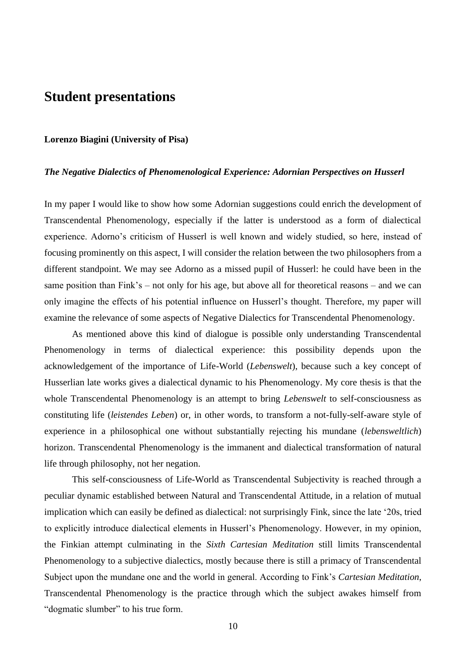# **Student presentations**

### **Lorenzo Biagini (University of Pisa)**

### *The Negative Dialectics of Phenomenological Experience: Adornian Perspectives on Husserl*

In my paper I would like to show how some Adornian suggestions could enrich the development of Transcendental Phenomenology, especially if the latter is understood as a form of dialectical experience. Adorno's criticism of Husserl is well known and widely studied, so here, instead of focusing prominently on this aspect, I will consider the relation between the two philosophers from a different standpoint. We may see Adorno as a missed pupil of Husserl: he could have been in the same position than Fink's – not only for his age, but above all for theoretical reasons – and we can only imagine the effects of his potential influence on Husserl's thought. Therefore, my paper will examine the relevance of some aspects of Negative Dialectics for Transcendental Phenomenology.

As mentioned above this kind of dialogue is possible only understanding Transcendental Phenomenology in terms of dialectical experience: this possibility depends upon the acknowledgement of the importance of Life-World (*Lebenswelt*), because such a key concept of Husserlian late works gives a dialectical dynamic to his Phenomenology. My core thesis is that the whole Transcendental Phenomenology is an attempt to bring *Lebenswelt* to self-consciousness as constituting life (*leistendes Leben*) or, in other words, to transform a not-fully-self-aware style of experience in a philosophical one without substantially rejecting his mundane (*lebensweltlich*) horizon. Transcendental Phenomenology is the immanent and dialectical transformation of natural life through philosophy, not her negation.

This self-consciousness of Life-World as Transcendental Subjectivity is reached through a peculiar dynamic established between Natural and Transcendental Attitude, in a relation of mutual implication which can easily be defined as dialectical: not surprisingly Fink, since the late '20s, tried to explicitly introduce dialectical elements in Husserl's Phenomenology. However, in my opinion, the Finkian attempt culminating in the *Sixth Cartesian Meditation* still limits Transcendental Phenomenology to a subjective dialectics, mostly because there is still a primacy of Transcendental Subject upon the mundane one and the world in general. According to Fink's *Cartesian Meditation*, Transcendental Phenomenology is the practice through which the subject awakes himself from "dogmatic slumber" to his true form.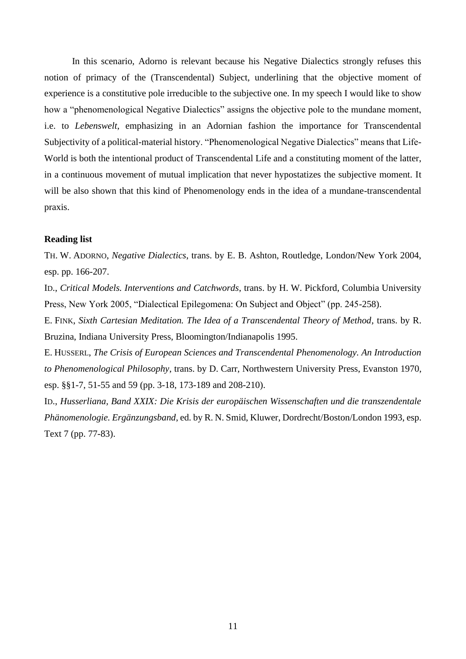In this scenario, Adorno is relevant because his Negative Dialectics strongly refuses this notion of primacy of the (Transcendental) Subject, underlining that the objective moment of experience is a constitutive pole irreducible to the subjective one. In my speech I would like to show how a "phenomenological Negative Dialectics" assigns the objective pole to the mundane moment, i.e. to *Lebenswelt*, emphasizing in an Adornian fashion the importance for Transcendental Subjectivity of a political-material history. "Phenomenological Negative Dialectics" means that Life-World is both the intentional product of Transcendental Life and a constituting moment of the latter, in a continuous movement of mutual implication that never hypostatizes the subjective moment. It will be also shown that this kind of Phenomenology ends in the idea of a mundane-transcendental praxis.

### **Reading list**

TH. W. ADORNO, *Negative Dialectics*, trans. by E. B. Ashton, Routledge, London/New York 2004, esp. pp. 166-207.

ID., *Critical Models. Interventions and Catchwords*, trans. by H. W. Pickford, Columbia University Press, New York 2005, "Dialectical Epilegomena: On Subject and Object" (pp. 245-258).

E. FINK, *Sixth Cartesian Meditation. The Idea of a Transcendental Theory of Method*, trans. by R. Bruzina, Indiana University Press, Bloomington/Indianapolis 1995.

E. HUSSERL, *The Crisis of European Sciences and Transcendental Phenomenology. An Introduction to Phenomenological Philosophy*, trans. by D. Carr, Northwestern University Press, Evanston 1970, esp. §§1-7, 51-55 and 59 (pp. 3-18, 173-189 and 208-210).

ID., *Husserliana, Band XXIX: Die Krisis der europäischen Wissenschaften und die transzendentale Phänomenologie. Ergänzungsband*, ed. by R. N. Smid, Kluwer, Dordrecht/Boston/London 1993, esp. Text 7 (pp. 77-83).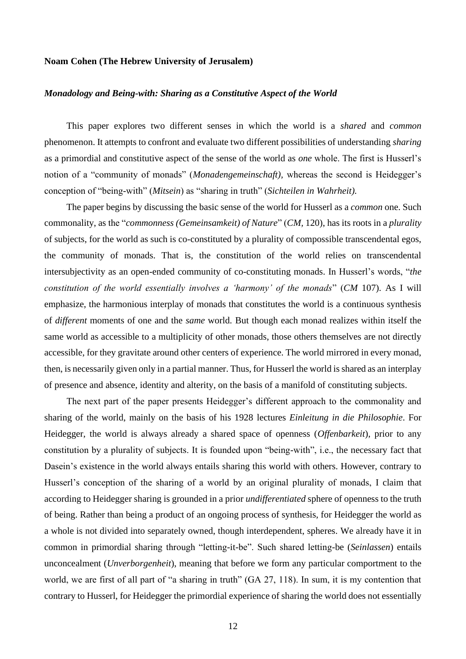### **Noam Cohen (The Hebrew University of Jerusalem)**

### *Monadology and Being-with: Sharing as a Constitutive Aspect of the World*

This paper explores two different senses in which the world is a *shared* and *common*  phenomenon. It attempts to confront and evaluate two different possibilities of understanding *sharing* as a primordial and constitutive aspect of the sense of the world as *one* whole. The first is Husserl's notion of a "community of monads" (*Monadengemeinschaft),* whereas the second is Heidegger's conception of "being-with" (*Mitsein*) as "sharing in truth" (*Sichteilen in Wahrheit).*

The paper begins by discussing the basic sense of the world for Husserl as a *common* one. Such commonality, as the "*commonness (Gemeinsamkeit) of Nature*" (*CM,* 120), has its roots in a *plurality*  of subjects, for the world as such is co-constituted by a plurality of compossible transcendental egos, the community of monads. That is, the constitution of the world relies on transcendental intersubjectivity as an open-ended community of co-constituting monads. In Husserl's words, "*the constitution of the world essentially involves a 'harmony' of the monads*" (*CM* 107). As I will emphasize, the harmonious interplay of monads that constitutes the world is a continuous synthesis of *different* moments of one and the *same* world. But though each monad realizes within itself the same world as accessible to a multiplicity of other monads, those others themselves are not directly accessible, for they gravitate around other centers of experience. The world mirrored in every monad, then, is necessarily given only in a partial manner. Thus, for Husserl the world is shared as an interplay of presence and absence, identity and alterity, on the basis of a manifold of constituting subjects.

The next part of the paper presents Heidegger's different approach to the commonality and sharing of the world, mainly on the basis of his 1928 lectures *Einleitung in die Philosophie*. For Heidegger, the world is always already a shared space of openness (*Offenbarkeit*), prior to any constitution by a plurality of subjects. It is founded upon "being-with", i.e., the necessary fact that Dasein's existence in the world always entails sharing this world with others. However, contrary to Husserl's conception of the sharing of a world by an original plurality of monads, I claim that according to Heidegger sharing is grounded in a prior *undifferentiated* sphere of openness to the truth of being. Rather than being a product of an ongoing process of synthesis, for Heidegger the world as a whole is not divided into separately owned, though interdependent, spheres. We already have it in common in primordial sharing through "letting-it-be". Such shared letting-be (*Seinlassen*) entails unconcealment (*Unverborgenheit*), meaning that before we form any particular comportment to the world, we are first of all part of "a sharing in truth" (GA 27, 118). In sum, it is my contention that contrary to Husserl, for Heidegger the primordial experience of sharing the world does not essentially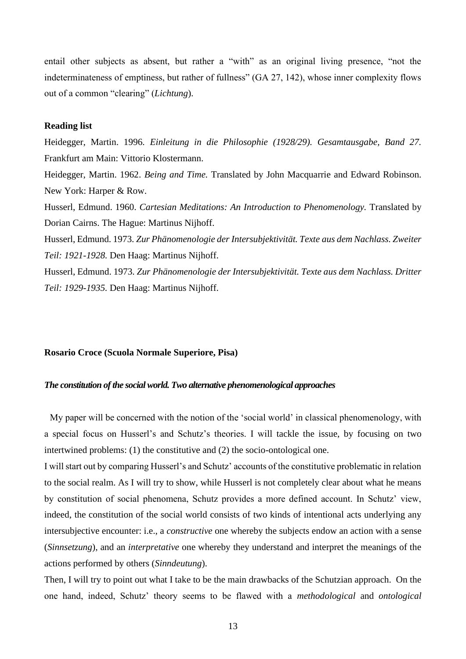entail other subjects as absent, but rather a "with" as an original living presence, "not the indeterminateness of emptiness, but rather of fullness" (GA 27, 142), whose inner complexity flows out of a common "clearing" (*Lichtung*).

### **Reading list**

Heidegger, Martin. 1996. *Einleitung in die Philosophie (1928/29). Gesamtausgabe, Band 27.*  Frankfurt am Main: Vittorio Klostermann. Heidegger, Martin. 1962. *Being and Time.* Translated by John Macquarrie and Edward Robinson. New York: Harper & Row. Husserl, Edmund. 1960. *Cartesian Meditations: An Introduction to Phenomenology.* Translated by Dorian Cairns. The Hague: Martinus Nijhoff. Husserl, Edmund. 1973. *Zur Phänomenologie der Intersubjektivität. Texte aus dem Nachlass. Zweiter Teil: 1921-1928.* Den Haag: Martinus Nijhoff. Husserl, Edmund. 1973. *Zur Phänomenologie der Intersubjektivität. Texte aus dem Nachlass. Dritter Teil: 1929-1935.* Den Haag: Martinus Nijhoff.

#### **Rosario Croce (Scuola Normale Superiore, Pisa)**

### *The constitution of the social world. Two alternative phenomenological approaches*

My paper will be concerned with the notion of the 'social world' in classical phenomenology, with a special focus on Husserl's and Schutz's theories. I will tackle the issue, by focusing on two intertwined problems: (1) the constitutive and (2) the socio-ontological one.

I will start out by comparing Husserl's and Schutz' accounts of the constitutive problematic in relation to the social realm. As I will try to show, while Husserl is not completely clear about what he means by constitution of social phenomena, Schutz provides a more defined account. In Schutz' view, indeed, the constitution of the social world consists of two kinds of intentional acts underlying any intersubjective encounter: i.e., a *constructive* one whereby the subjects endow an action with a sense (*Sinnsetzung*), and an *interpretative* one whereby they understand and interpret the meanings of the actions performed by others (*Sinndeutung*).

Then, I will try to point out what I take to be the main drawbacks of the Schutzian approach. On the one hand, indeed, Schutz' theory seems to be flawed with a *methodological* and *ontological*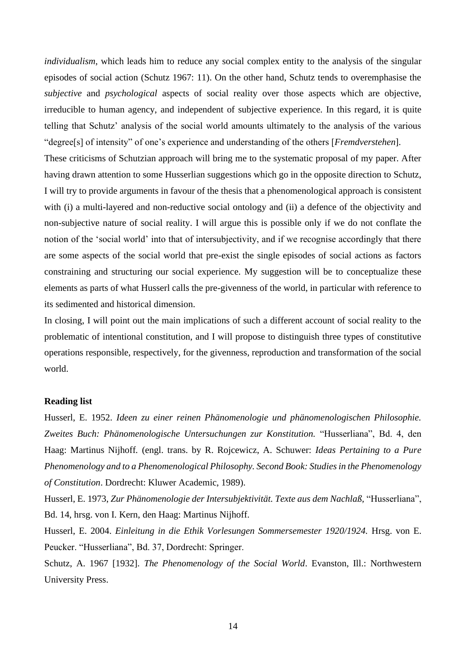*individualism*, which leads him to reduce any social complex entity to the analysis of the singular episodes of social action (Schutz 1967: 11). On the other hand, Schutz tends to overemphasise the *subjective* and *psychological* aspects of social reality over those aspects which are objective, irreducible to human agency, and independent of subjective experience. In this regard, it is quite telling that Schutz' analysis of the social world amounts ultimately to the analysis of the various "degree[s] of intensity" of one's experience and understanding of the others [*Fremdverstehen*].

These criticisms of Schutzian approach will bring me to the systematic proposal of my paper. After having drawn attention to some Husserlian suggestions which go in the opposite direction to Schutz, I will try to provide arguments in favour of the thesis that a phenomenological approach is consistent with (i) a multi-layered and non-reductive social ontology and (ii) a defence of the objectivity and non-subjective nature of social reality. I will argue this is possible only if we do not conflate the notion of the 'social world' into that of intersubjectivity, and if we recognise accordingly that there are some aspects of the social world that pre-exist the single episodes of social actions as factors constraining and structuring our social experience. My suggestion will be to conceptualize these elements as parts of what Husserl calls the pre-givenness of the world, in particular with reference to its sedimented and historical dimension.

In closing, I will point out the main implications of such a different account of social reality to the problematic of intentional constitution, and I will propose to distinguish three types of constitutive operations responsible, respectively, for the givenness, reproduction and transformation of the social world.

### **Reading list**

Husserl, E. 1952. *Ideen zu einer reinen Phänomenologie und phänomenologischen Philosophie. Zweites Buch: Phänomenologische Untersuchungen zur Konstitution.* "Husserliana", Bd. 4, den Haag: Martinus Nijhoff*.* (engl. trans. by R. Rojcewicz, A. Schuwer: *Ideas Pertaining to a Pure Phenomenology and to a Phenomenological Philosophy. Second Book: Studies in the Phenomenology of Constitution*. Dordrecht: Kluwer Academic, 1989).

Husserl, E. 1973, *Zur Phänomenologie der Intersubjektivität. Texte aus dem Nachlaß,* "Husserliana", Bd. 14, hrsg. von I. Kern, den Haag: Martinus Nijhoff.

Husserl, E. 2004. *Einleitung in die Ethik Vorlesungen Sommersemester 1920/1924.* Hrsg. von E. Peucker. "Husserliana", Bd. 37, Dordrecht: Springer.

Schutz, A. 1967 [1932]. *The Phenomenology of the Social World*. Evanston, Ill.: Northwestern University Press.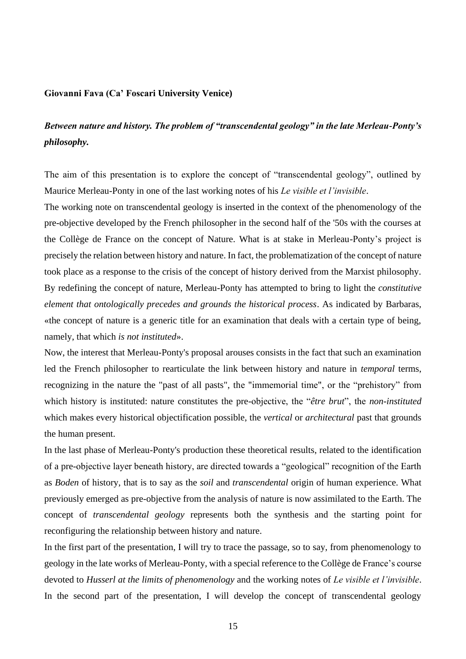### **Giovanni Fava (Ca' Foscari University Venice)**

# *Between nature and history. The problem of "transcendental geology" in the late Merleau-Ponty's philosophy.*

The aim of this presentation is to explore the concept of "transcendental geology", outlined by Maurice Merleau-Ponty in one of the last working notes of his *Le visible et l'invisible*.

The working note on transcendental geology is inserted in the context of the phenomenology of the pre-objective developed by the French philosopher in the second half of the '50s with the courses at the Collège de France on the concept of Nature. What is at stake in Merleau-Ponty's project is precisely the relation between history and nature. In fact, the problematization of the concept of nature took place as a response to the crisis of the concept of history derived from the Marxist philosophy. By redefining the concept of nature, Merleau-Ponty has attempted to bring to light the *constitutive element that ontologically precedes and grounds the historical process*. As indicated by Barbaras, «the concept of nature is a generic title for an examination that deals with a certain type of being, namely, that which *is not instituted*».

Now, the interest that Merleau-Ponty's proposal arouses consists in the fact that such an examination led the French philosopher to rearticulate the link between history and nature in *temporal* terms, recognizing in the nature the "past of all pasts", the "immemorial time", or the "prehistory" from which history is instituted: nature constitutes the pre-objective, the "*être brut*", the *non-instituted* which makes every historical objectification possible, the *vertical* or *architectural* past that grounds the human present.

In the last phase of Merleau-Ponty's production these theoretical results, related to the identification of a pre-objective layer beneath history, are directed towards a "geological" recognition of the Earth as *Boden* of history, that is to say as the *soil* and *transcendental* origin of human experience. What previously emerged as pre-objective from the analysis of nature is now assimilated to the Earth. The concept of *transcendental geology* represents both the synthesis and the starting point for reconfiguring the relationship between history and nature.

In the first part of the presentation, I will try to trace the passage, so to say, from phenomenology to geology in the late works of Merleau-Ponty, with a special reference to the Collège de France's course devoted to *Husserl at the limits of phenomenology* and the working notes of *Le visible et l'invisible*. In the second part of the presentation, I will develop the concept of transcendental geology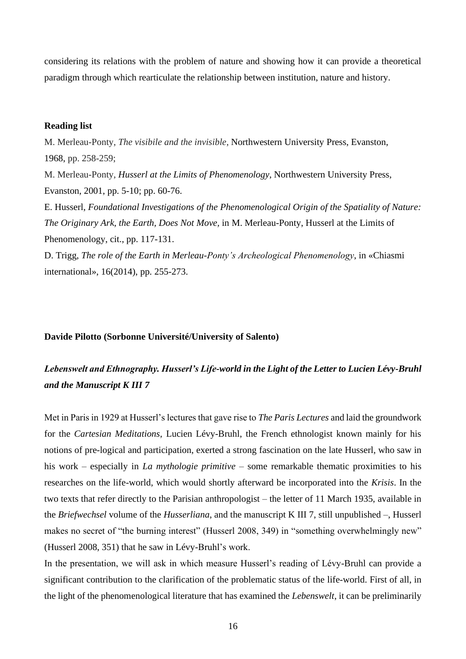considering its relations with the problem of nature and showing how it can provide a theoretical paradigm through which rearticulate the relationship between institution, nature and history.

### **Reading list**

M. Merleau-Ponty, *The visibile and the invisible*, Northwestern University Press, Evanston, 1968, pp. 258-259; M. Merleau-Ponty, *Husserl at the Limits of Phenomenology*, Northwestern University Press, Evanston, 2001, pp. 5-10; pp. 60-76. E. Husserl, *Foundational Investigations of the Phenomenological Origin of the Spatiality of Nature: The Originary Ark, the Earth, Does Not Move,* in M. Merleau-Ponty, Husserl at the Limits of Phenomenology, cit., pp. 117-131. D. Trigg, *The role of the Earth in Merleau-Ponty's Archeological Phenomenology*, in «Chiasmi

international», 16(2014), pp. 255-273.

### **Davide Pilotto (Sorbonne Université/University of Salento)**

# *Lebenswelt and Ethnography. Husserl's Life-world in the Light of the Letter to Lucien Lévy-Bruhl and the Manuscript K III 7*

Met in Paris in 1929 at Husserl's lectures that gave rise to *The Paris Lectures* and laid the groundwork for the *Cartesian Meditations*, Lucien Lévy-Bruhl, the French ethnologist known mainly for his notions of pre-logical and participation, exerted a strong fascination on the late Husserl, who saw in his work – especially in *La mythologie primitive* – some remarkable thematic proximities to his researches on the life-world, which would shortly afterward be incorporated into the *Krisis*. In the two texts that refer directly to the Parisian anthropologist – the letter of 11 March 1935, available in the *Briefwechsel* volume of the *Husserliana*, and the manuscript K III 7, still unpublished –, Husserl makes no secret of "the burning interest" (Husserl 2008, 349) in "something overwhelmingly new" (Husserl 2008, 351) that he saw in Lévy-Bruhl's work.

In the presentation, we will ask in which measure Husserl's reading of Lévy-Bruhl can provide a significant contribution to the clarification of the problematic status of the life-world. First of all, in the light of the phenomenological literature that has examined the *Lebenswelt*, it can be preliminarily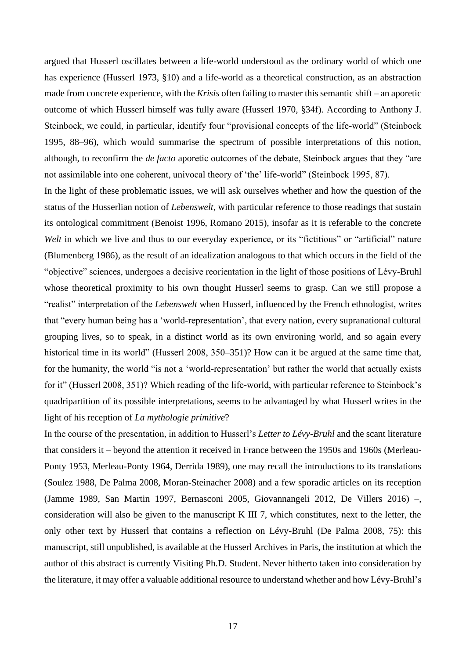argued that Husserl oscillates between a life-world understood as the ordinary world of which one has experience (Husserl 1973, §10) and a life-world as a theoretical construction, as an abstraction made from concrete experience, with the *Krisis* often failing to master this semantic shift – an aporetic outcome of which Husserl himself was fully aware (Husserl 1970, §34f). According to Anthony J. Steinbock, we could, in particular, identify four "provisional concepts of the life-world" (Steinbock 1995, 88–96), which would summarise the spectrum of possible interpretations of this notion, although, to reconfirm the *de facto* aporetic outcomes of the debate, Steinbock argues that they "are not assimilable into one coherent, univocal theory of 'the' life-world" (Steinbock 1995, 87).

In the light of these problematic issues, we will ask ourselves whether and how the question of the status of the Husserlian notion of *Lebenswelt*, with particular reference to those readings that sustain its ontological commitment (Benoist 1996, Romano 2015), insofar as it is referable to the concrete *Welt* in which we live and thus to our everyday experience, or its "fictitious" or "artificial" nature (Blumenberg 1986), as the result of an idealization analogous to that which occurs in the field of the "objective" sciences, undergoes a decisive reorientation in the light of those positions of Lévy-Bruhl whose theoretical proximity to his own thought Husserl seems to grasp. Can we still propose a "realist" interpretation of the *Lebenswelt* when Husserl, influenced by the French ethnologist, writes that "every human being has a 'world-representation', that every nation, every supranational cultural grouping lives, so to speak, in a distinct world as its own environing world, and so again every historical time in its world" (Husserl 2008, 350–351)? How can it be argued at the same time that, for the humanity, the world "is not a 'world-representation' but rather the world that actually exists for it" (Husserl 2008, 351)? Which reading of the life-world, with particular reference to Steinbock's quadripartition of its possible interpretations, seems to be advantaged by what Husserl writes in the light of his reception of *La mythologie primitive*?

In the course of the presentation, in addition to Husserl's *Letter to Lévy-Bruhl* and the scant literature that considers it – beyond the attention it received in France between the 1950s and 1960s (Merleau-Ponty 1953, Merleau-Ponty 1964, Derrida 1989), one may recall the introductions to its translations (Soulez 1988, De Palma 2008, Moran-Steinacher 2008) and a few sporadic articles on its reception (Jamme 1989, San Martin 1997, Bernasconi 2005, Giovannangeli 2012, De Villers 2016) –, consideration will also be given to the manuscript K III 7, which constitutes, next to the letter, the only other text by Husserl that contains a reflection on Lévy-Bruhl (De Palma 2008, 75): this manuscript, still unpublished, is available at the Husserl Archives in Paris, the institution at which the author of this abstract is currently Visiting Ph.D. Student. Never hitherto taken into consideration by the literature, it may offer a valuable additional resource to understand whether and how Lévy-Bruhl's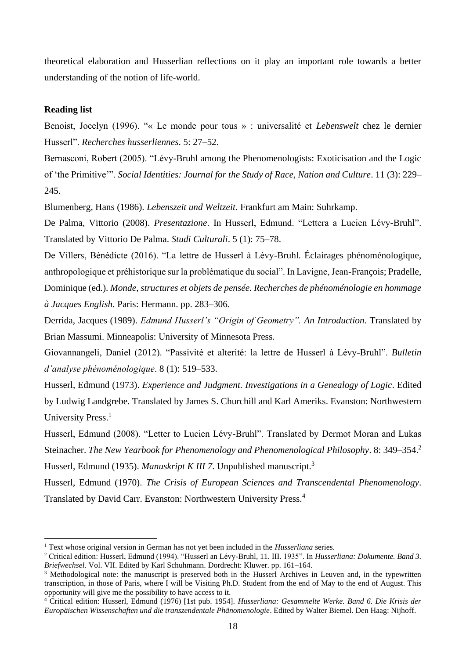theoretical elaboration and Husserlian reflections on it play an important role towards a better understanding of the notion of life-world.

### **Reading list**

Benoist, Jocelyn (1996). "« Le monde pour tous » : universalité et *Lebenswelt* chez le dernier Husserl". *Recherches husserliennes*. 5: 27–52.

Bernasconi, Robert (2005). "Lévy-Bruhl among the Phenomenologists: Exoticisation and the Logic of 'the Primitive'". *Social Identities: Journal for the Study of Race, Nation and Culture*. 11 (3): 229– 245.

Blumenberg, Hans (1986). *Lebenszeit und Weltzeit*. Frankfurt am Main: Suhrkamp.

De Palma, Vittorio (2008). *Presentazione*. In Husserl, Edmund. "Lettera a Lucien Lévy-Bruhl". Translated by Vittorio De Palma. *Studi Culturali*. 5 (1): 75–78.

De Villers, Bénédicte (2016). "La lettre de Husserl à Lévy-Bruhl. Éclairages phénoménologique, anthropologique et préhistorique sur la problématique du social". In Lavigne, Jean-François; Pradelle, Dominique (ed.). *Monde, structures et objets de pensée. Recherches de phénoménologie en hommage à Jacques English*. Paris: Hermann. pp. 283–306.

Derrida, Jacques (1989). *Edmund Husserl's "Origin of Geometry". An Introduction*. Translated by Brian Massumi. Minneapolis: University of Minnesota Press.

Giovannangeli, Daniel (2012). "Passivité et alterité: la lettre de Husserl à Lévy-Bruhl". *Bulletin d'analyse phénoménologique*. 8 (1): 519–533.

Husserl, Edmund (1973). *Experience and Judgment. Investigations in a Genealogy of Logic*. Edited by Ludwig Landgrebe. Translated by James S. Churchill and Karl Ameriks. Evanston: Northwestern University Press.<sup>1</sup>

Husserl, Edmund (2008). "Letter to Lucien Lévy-Bruhl". Translated by Dermot Moran and Lukas Steinacher. *The New Yearbook for Phenomenology and Phenomenological Philosophy*. 8: 349–354.<sup>2</sup> Husserl, Edmund (1935). *Manuskript K III 7*. Unpublished manuscript.<sup>3</sup>

Husserl, Edmund (1970). *The Crisis of European Sciences and Transcendental Phenomenology*. Translated by David Carr. Evanston: Northwestern University Press.<sup>4</sup>

<sup>1</sup> Text whose original version in German has not yet been included in the *Husserliana* series.

<sup>2</sup> Critical edition: Husserl, Edmund (1994). "Husserl an Lévy-Bruhl, 11. III. 1935". In *Husserliana: Dokumente. Band 3. Briefwechsel*. Vol. VII. Edited by Karl Schuhmann. Dordrecht: Kluwer. pp. 161–164.

<sup>&</sup>lt;sup>3</sup> Methodological note: the manuscript is preserved both in the Husserl Archives in Leuven and, in the typewritten transcription, in those of Paris, where I will be Visiting Ph.D. Student from the end of May to the end of August. This opportunity will give me the possibility to have access to it.

<sup>4</sup> Critical edition: Husserl, Edmund (1976) [1st pub. 1954]. *Husserliana: Gesammelte Werke. Band 6. Die Krisis der Europäischen Wissenschaften und die transzendentale Phänomenologie*. Edited by Walter Biemel. Den Haag: Nijhoff.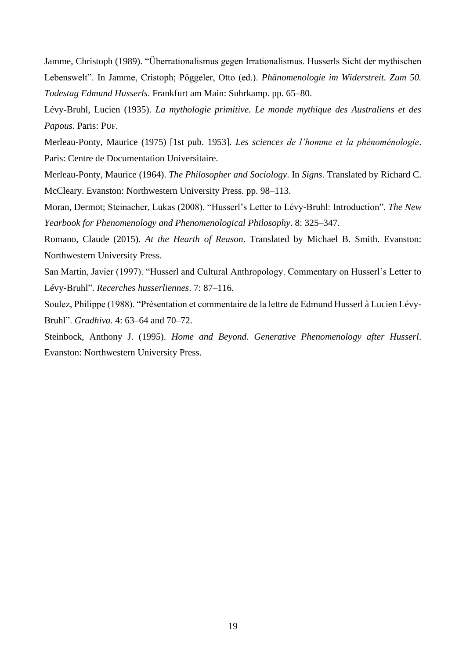Jamme, Christoph (1989). "Überrationalismus gegen Irrationalismus. Husserls Sicht der mythischen Lebenswelt". In Jamme, Cristoph; Pöggeler, Otto (ed.). *Phänomenologie im Widerstreit. Zum 50. Todestag Edmund Husserls*. Frankfurt am Main: Suhrkamp. pp. 65–80.

Lévy-Bruhl, Lucien (1935). *La mythologie primitive. Le monde mythique des Australiens et des Papous*. Paris: PUF.

Merleau-Ponty, Maurice (1975) [1st pub. 1953]. *Les sciences de l'homme et la phénoménologie*. Paris: Centre de Documentation Universitaire.

Merleau-Ponty, Maurice (1964). *The Philosopher and Sociology*. In *Signs*. Translated by Richard C. McCleary. Evanston: Northwestern University Press. pp. 98–113.

Moran, Dermot; Steinacher, Lukas (2008). "Husserl's Letter to Lévy-Bruhl: Introduction". *The New Yearbook for Phenomenology and Phenomenological Philosophy*. 8: 325–347.

Romano, Claude (2015). *At the Hearth of Reason*. Translated by Michael B. Smith. Evanston: Northwestern University Press.

San Martin, Javier (1997). "Husserl and Cultural Anthropology. Commentary on Husserl's Letter to Lévy-Bruhl". *Recerches husserliennes*. 7: 87–116.

Soulez, Philippe (1988). "Présentation et commentaire de la lettre de Edmund Husserl à Lucien Lévy-Bruhl". *Gradhiva*. 4: 63–64 and 70–72.

Steinbock, Anthony J. (1995). *Home and Beyond. Generative Phenomenology after Husserl*. Evanston: Northwestern University Press.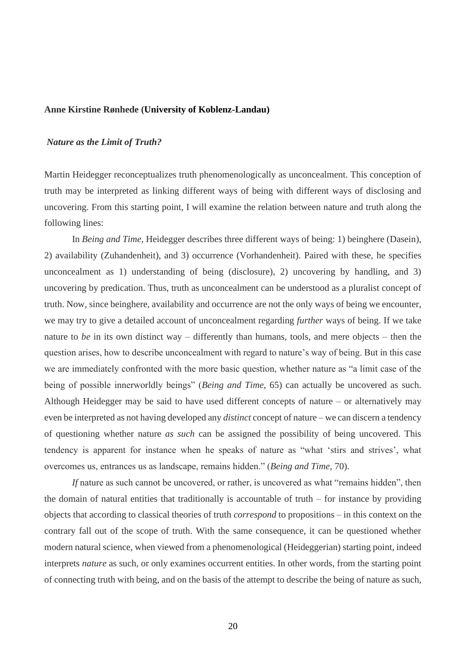### **Anne Kirstine Rønhede (University of Koblenz-Landau)**

### *Nature as the Limit of Truth?*

Martin Heidegger reconceptualizes truth phenomenologically as unconcealment. This conception of truth may be interpreted as linking different ways of being with different ways of disclosing and uncovering. From this starting point, I will examine the relation between nature and truth along the following lines:

In *Being and Time*, Heidegger describes three different ways of being: 1) beinghere (Dasein), 2) availability (Zuhandenheit), and 3) occurrence (Vorhandenheit). Paired with these, he specifies unconcealment as 1) understanding of being (disclosure), 2) uncovering by handling, and 3) uncovering by predication. Thus, truth as unconcealment can be understood as a pluralist concept of truth. Now, since beinghere, availability and occurrence are not the only ways of being we encounter, we may try to give a detailed account of unconcealment regarding *further* ways of being. If we take nature to *be* in its own distinct way – differently than humans, tools, and mere objects – then the question arises, how to describe unconcealment with regard to nature's way of being. But in this case we are immediately confronted with the more basic question, whether nature as "a limit case of the being of possible innerworldly beings" (*Being and Time*, 65) can actually be uncovered as such. Although Heidegger may be said to have used different concepts of nature – or alternatively may even be interpreted as not having developed any *distinct* concept of nature – we can discern a tendency of questioning whether nature *as such* can be assigned the possibility of being uncovered. This tendency is apparent for instance when he speaks of nature as "what 'stirs and strives', what overcomes us, entrances us as landscape, remains hidden." (*Being and Time*, 70).

*If* nature as such cannot be uncovered, or rather, is uncovered as what "remains hidden", then the domain of natural entities that traditionally is accountable of truth  $-$  for instance by providing objects that according to classical theories of truth *correspond* to propositions – in this context on the contrary fall out of the scope of truth. With the same consequence, it can be questioned whether modern natural science, when viewed from a phenomenological (Heideggerian) starting point, indeed interprets *nature* as such, or only examines occurrent entities. In other words, from the starting point of connecting truth with being, and on the basis of the attempt to describe the being of nature as such,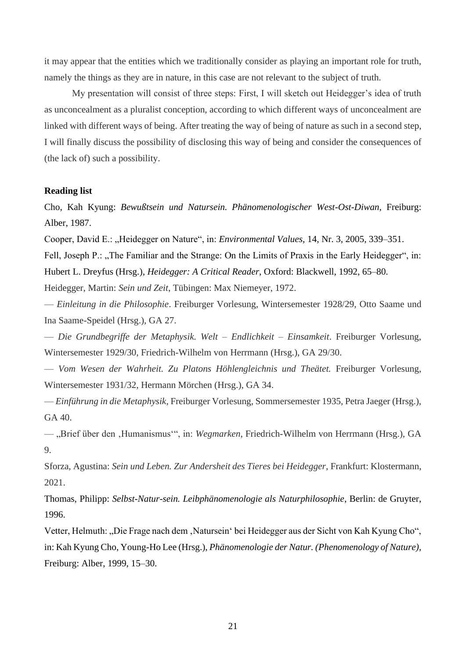it may appear that the entities which we traditionally consider as playing an important role for truth, namely the things as they are in nature, in this case are not relevant to the subject of truth.

My presentation will consist of three steps: First, I will sketch out Heidegger's idea of truth as unconcealment as a pluralist conception, according to which different ways of unconcealment are linked with different ways of being. After treating the way of being of nature as such in a second step, I will finally discuss the possibility of disclosing this way of being and consider the consequences of (the lack of) such a possibility.

#### **Reading list**

Cho, Kah Kyung: *Bewußtsein und Natursein. Phänomenologischer West-Ost-Diwan*, Freiburg: Alber, 1987.

Cooper, David E.: "Heidegger on Nature", in: *Environmental Values*, 14, Nr. 3, 2005, 339–351.

Fell, Joseph P.: "The Familiar and the Strange: On the Limits of Praxis in the Early Heidegger", in: Hubert L. Dreyfus (Hrsg.), *Heidegger: A Critical Reader*, Oxford: Blackwell, 1992, 65–80.

Heidegger, Martin: *Sein und Zeit*, Tübingen: Max Niemeyer, 1972.

— *Einleitung in die Philosophie*. Freiburger Vorlesung, Wintersemester 1928/29, Otto Saame und Ina Saame-Speidel (Hrsg.), GA 27.

— *Die Grundbegriffe der Metaphysik. Welt – Endlichkeit – Einsamkeit*. Freiburger Vorlesung, Wintersemester 1929/30, Friedrich-Wilhelm von Herrmann (Hrsg.), GA 29/30.

— *Vom Wesen der Wahrheit. Zu Platons Höhlengleichnis und Theätet.* Freiburger Vorlesung, Wintersemester 1931/32, Hermann Mörchen (Hrsg.), GA 34.

— *Einführung in die Metaphysik*, Freiburger Vorlesung, Sommersemester 1935, Petra Jaeger (Hrsg.), GA 40.

— "Brief über den 'Humanismus'", in: *Wegmarken*, Friedrich-Wilhelm von Herrmann (Hrsg.), GA 9.

Sforza, Agustina: *Sein und Leben. Zur Andersheit des Tieres bei Heidegger*, Frankfurt: Klostermann, 2021.

Thomas, Philipp: *Selbst-Natur-sein. Leibphänomenologie als Naturphilosophie*, Berlin: de Gruyter, 1996.

Vetter, Helmuth: "Die Frage nach dem , Natursein' bei Heidegger aus der Sicht von Kah Kyung Cho", in: Kah Kyung Cho, Young-Ho Lee (Hrsg.), *Phänomenologie der Natur. (Phenomenology of Nature)*, Freiburg: Alber, 1999, 15–30.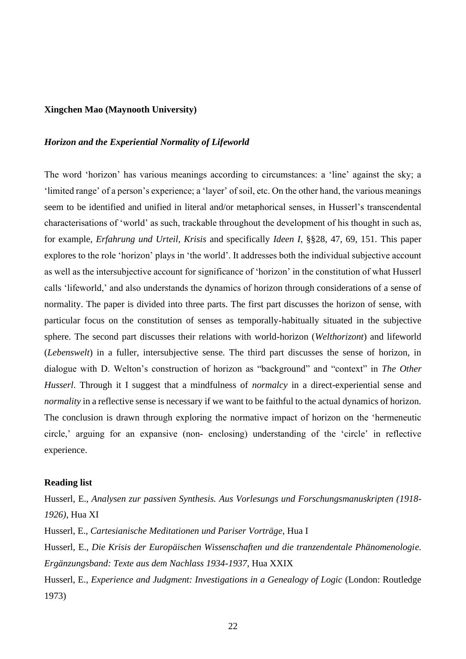### **Xingchen Mao (Maynooth University)**

### *Horizon and the Experiential Normality of Lifeworld*

The word 'horizon' has various meanings according to circumstances: a 'line' against the sky; a 'limited range' of a person's experience; a 'layer' of soil, etc. On the other hand, the various meanings seem to be identified and unified in literal and/or metaphorical senses, in Husserl's transcendental characterisations of 'world' as such, trackable throughout the development of his thought in such as, for example, *Erfahrung und Urteil, Krisis* and specifically *Ideen I,* §§28, 47, 69, 151. This paper explores to the role 'horizon' plays in 'the world'. It addresses both the individual subjective account as well as the intersubjective account for significance of 'horizon' in the constitution of what Husserl calls 'lifeworld,' and also understands the dynamics of horizon through considerations of a sense of normality. The paper is divided into three parts. The first part discusses the horizon of sense, with particular focus on the constitution of senses as temporally-habitually situated in the subjective sphere. The second part discusses their relations with world-horizon (*Welthorizont*) and lifeworld (*Lebenswelt*) in a fuller, intersubjective sense. The third part discusses the sense of horizon, in dialogue with D. Welton's construction of horizon as "background" and "context" in *The Other Husserl*. Through it I suggest that a mindfulness of *normalcy* in a direct-experiential sense and *normality* in a reflective sense is necessary if we want to be faithful to the actual dynamics of horizon. The conclusion is drawn through exploring the normative impact of horizon on the 'hermeneutic circle,' arguing for an expansive (non- enclosing) understanding of the 'circle' in reflective experience.

#### **Reading list**

Husserl, E., *Analysen zur passiven Synthesis. Aus Vorlesungs und Forschungsmanuskripten (1918- 1926)*, Hua XI Husserl, E., *Cartesianische Meditationen und Pariser Vorträge*, Hua I Husserl, E., *Die Krisis der Europäischen Wissenschaften und die tranzendentale Phänomenologie. Ergänzungsband: Texte aus dem Nachlass 1934-1937*, Hua XXIX Husserl, E., *Experience and Judgment: Investigations in a Genealogy of Logic* (London: Routledge 1973)